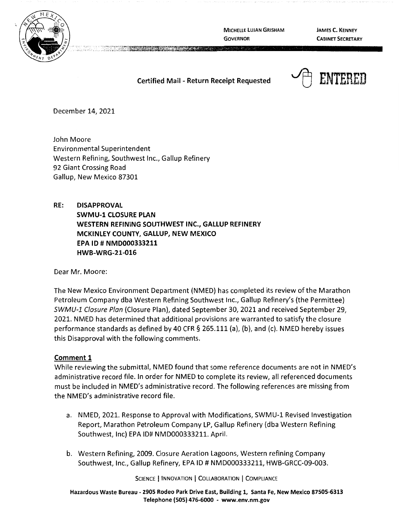

**MICHELLE LUJAN GRISHAM GOVERNOR** 

**JAMES C. KENNEY CABINET SECRETARY** 

# **Certified Mail** - **Return Receipt Requested**



December 14, 2021

John Moore Environmental Superintendent Western Refining, Southwest Inc., Gallup Refinery 92 Giant Crossing Road Gallup, New Mexico 87301

**RE: DISAPPROVAL SWMU-1 CLOSURE PLAN WESTERN REFINING SOUTHWEST INC., GALLUP REFINERY MCKINLEY COUNTY, GALLUP, NEW MEXICO EPA** ID# **NMD000333211 HWB-WRG-21-016** 

Dear Mr. Moore:

The New Mexico Environment Department (NMED) has completed its review of the Marathon Petroleum Company dba Western Refining Southwest Inc., Gallup Refinery's (the Permittee) SWMU-1 Closure Plan (Closure Plan), dated September 30, 2021 and received September 29, 2021. NMED has determined that additional provisions are warranted to satisfy the closure performance standards as defined by 40 CFR § 265.111 (a), (b), and (c). NMED hereby issues this Disapproval with the following comments.

### **Comment 1**

While reviewing the submittal, NMED found that some reference documents are not in NMED's administrative record file. In order for NMED to complete its review, all referenced documents must be included in NMED's administrative record. The following references are missing from the NMED's administrative record file.

- a. NMED, 2021. Response to Approval with Modifications, SWMU-1 Revised Investigation Report, Marathon Petroleum Company LP, Gallup Refinery (dba Western Refining Southwest, Inc) EPA ID# NMD000333211. April.
- b. Western Refining, 2009. Closure Aeration Lagoons, Western refining Company Southwest, Inc., Gallup Refinery, EPA ID# NMD000333211, HWB-GRCC-09-003.

SCIENCE | INNOVATION | COLLABORATION | COMPLIANCE

**Hazardous Waste Bureau** - **2905 Rodeo Park Drive East, Building 1, Santa Fe, New Mexico 87505-6313 Telephone (505) 476-6000** - **www.env.nm.gov**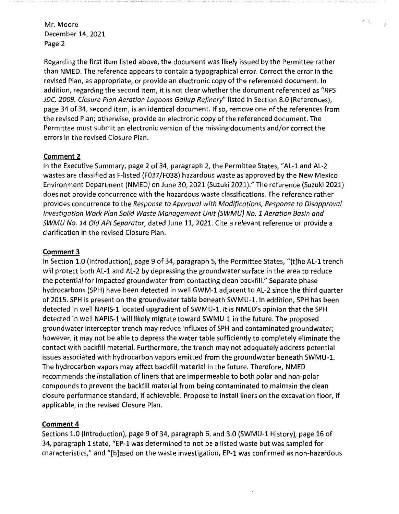Regarding the first item listed above, the document was likely issued by the Permittee rather than NMED. The reference appears to contain a typographical error. Correct the error in the revised Plan, as appropriate, or provide an electronic copy of the referenced document. In addition, regarding the second item, it is not clear whether the document referenced as "RPS JDC. 2009. Closure Plan Aeration Lagoons Gallup Refinery" listed in Section 8.0 (References), page 34 of 34, second item, is an identical document. If so, remove one of the references from the revised Plan; otherwise, provide an electronic copy of the referenced document. The Permittee must submit an electronic version of the missing documents and/or correct the errors in the revised Closure Plan.

*I 'i* 

¢

### **Comment 2**

In the Executive Summary, page 2 of 34, paragraph 2, the Permittee States, "AL-1 and AL-2 wastes are classified as F-listed (F037/F038) hazardous waste as approved by the New Mexico Environment Department (NMED) on June 30, 2021 (Suzuki 2021)." The reference (Suzuki 2021) does not provide concurrence with the hazardous waste classifications. The reference rather provides concurrence to the Response to Approval with Modifications, Response to Disapproval Investigation Work Plan Solid Waste Management Unit (SWMU} No. 1 Aeration Basin and SWMU No. 14 Old AP/ Separator, dated June 11, 2021. Cite a relevant reference or provide a clarification in the revised Closure Plan.

#### **Comment 3**

In Section 1.0 (Introduction), page 9 of 34, paragraph 5, the Permittee States, "[t]he AL-1 trench will protect both AL-1 and AL-2 by depressing the groundwater surface in the area to reduce the potential for impacted groundwater from contacting clean backfill." Separate phase hydrocarbons (SPH) have been detected in well GWM-1 adjacent to AL-2 since the third quarter of 2015. SPH is present on the groundwater table beneath SWMU-1. In addition, SPH has been detected in well NAPIS-1 located upgradient of SWMU-1. It is NMED's opinion that the SPH detected in well NAPIS-1 will likely migrate toward SWMU-1 in the future. The proposed groundwater interceptor trench may reduce influxes of SPH and contaminated groundwater; however, it may not be able to depress the water table sufficiently to completely eliminate the contact with backfill material. Furthermore, the trench may not adequately address potential issues associated with hydrocarbon vapors emitted from the groundwater beneath SWMU-1. The hydrocarbon vapors may affect backfill material in the future. Therefore, NMED recommends the installation of liners that are impermeable to both polar and non-polar compounds to prevent the backfill material from being contaminated to maintain the clean closure performance standard, if achievable. Propose to install liners on the excavation floor, if applicable, in the revised Closure Plan.

### **Comment 4**

Sections 1.0 (Introduction), page 9 of 34, paragraph 6, and 3.0 (SWMU-1 History), page 16 of 34, paragraph 1 state, "EP-1 was determined to not be a listed waste but was sampled for characteristics," and "[b]ased on the waste investigation, EP-1 was confirmed as non-hazardous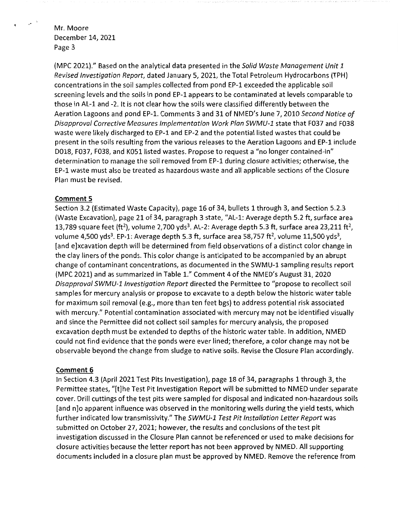$\mathcal{P}^{(1)}$ 

(MPC 2021)." Based on the analytical data presented in the Solid Waste Management Unit 1 Revised Investigation Report, dated January 5, 2021, the Total Petroleum Hydrocarbons (TPH) concentrations in the soil samples collected from pond EP-1 exceeded the applicable soil screening levels and the soils in pond EP-1 appears to be contaminated at levels comparable to those in AL-1 and -2. It is not clear how the soils were classified differently between the Aeration Lagoons and pond EP-1. Comments 3 and 31 of NMED's June 7, 2010 Second Notice of Disapproval Corrective Measures Implementation Work Plan SWMU-1 state that F037 and F038 waste were likely discharged to EP-1 and EP-2 and the potential listed wastes that could be present in the soils resulting from the various releases to the Aeration Lagoons and EP-1 include D018, F037, F038, and K051 listed wastes. Propose to request a "no longer contained-in" determination to manage the soil removed from EP-1 during closure activities; otherwise, the EP-1 waste must also be treated as hazardous waste and all applicable sections of the Closure Plan must be revised.

#### **Comment 5**

Section 3.2 (Estimated Waste Capacity), page 16 of 34, bullets 1 through 3, and Section 5.2.3 (Waste Excavation), page 21 of 34, paragraph 3 state, "AL-1: Average depth 5.2 ft, surface area 13,789 square feet (ft<sup>2</sup>), volume 2,700 yds<sup>3</sup>. AL-2: Average depth 5.3 ft, surface area 23,211 ft<sup>2</sup>, volume 4,500 yds<sup>3</sup>. EP-1: Average depth 5.3 ft, surface area 58,757 ft<sup>2</sup>, volume 11,500 yds<sup>3</sup>, [and e]xcavation depth will be determined from field observations of a distinct color change in the clay liners of the ponds. This color change is anticipated to be accompanied by an abrupt change of contaminant concentrations, as documented in the SWMU-1 sampling results report (MPC 2021) and as summarized in Table l." Comment 4 of the NMED's August 31, 2020 Disapproval SWMU-1 Investigation Report directed the Permittee to "propose to recollect soil samples for mercury analysis or propose to excavate to a depth below the historic water table for maximum soil removal (e.g., more than ten feet bgs) to address potential risk associated with mercury." Potential contamination associated with mercury may not be identified visually and since the Permittee did not collect soil samples for mercury analysis, the proposed excavation depth must be extended to depths of the historic water table. In addition, NMED could not find evidence that the ponds were ever lined; therefore, a color change may not be observable beyond the change from sludge to native soils. Revise the Closure Plan accordingly.

#### **Comment 6**

In Section 4.3 (April 2021 Test Pits Investigation), page 18 of 34, paragraphs 1 through 3, the Permittee states, "[t]he Test Pit Investigation Report will be submitted to NMED under separate cover. Drill cuttings ofthe test pits were sampled for disposal and indicated non-hazardous soils [and n]o apparent influence was observed in the monitoring wells during the yield tests, which further indicated low transmissivity." The SWMU-1 Test Pit Installation Letter Report was submitted on October 27, 2021; however, the results and conclusions of the test pit investigation discussed in the Closure Plan cannot be referenced or used to make decisions for closure activities because the letter report has not been approved by NMED. All supporting documents included in a closure plan must be approved by NMED. Remove the reference from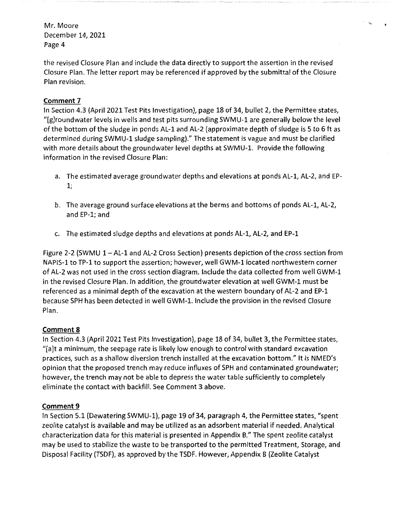the revised Closure Plan and include the data directly to support the assertion in the revised Closure Plan. The letter report may be referenced if approved by the submittal of the Closure Plan revision.

 $\mathbf{v}_i$ 

## **Comment 7**

In Section 4.3 (April 2021 Test Pits Investigation), page 18 of 34, bullet 2, the Permittee states, "[g]roundwater levels in wells and test pits surrounding SWMU-1 are generally below the level of the bottom of the sludge in ponds AL-1 and AL-2 (approximate depth of sludge is 5 to 6 ft as determined during SWMU-1 sludge sampling)." The statement is vague and must be clarified with more details about the groundwater level depths at SWMU-1. Provide the following information in the revised Closure Plan:

- a. The estimated average groundwater depths and elevations at ponds AL-1, AL-2, and EP-1;
- b. The average ground surface elevations at the berms and bottoms of ponds AL-1, AL-2, and EP-1; and
- c. The estimated sludge depths and elevations at ponds AL-1, AL-2, and EP-1

Figure 2-2 (SWMU 1 – AL-1 and AL-2 Cross Section) presents depiction of the cross section from NAPIS-1 to TP-1 to support the assertion; however, well GWM-1 located northwestern corner of AL-2 was not used in the cross section diagram. Include the data collected from well GWM-1 in the revised Closure Plan. In addition, the groundwater elevation at well GWM-1 must be referenced as a minimal depth of the excavation at the western boundary of AL-2 and EP-1 because SPH has been detected in well GWM-1. Include the provision in the revised Closure Plan.

# **Comment 8**

In Section 4.3 (April 2021 Test Pits Investigation), page 18 of 34, bullet 3, the Permittee states, "[a]t a minimum, the seepage rate is likely low enough to control with standard excavation practices, such as a shallow diversion trench installed at the excavation bottom." It is NMED's opinion that the proposed trench may reduce influxes of SPH and contaminated groundwater; however, the trench may not be able to depress the water table sufficiently to completely eliminate the contact with backfill. See Comment 3 above.

# **Comment 9**

In Section 5.1 (Dewatering SWMU-1), page 19 of 34, paragraph 4, the Permittee states, "spent zeolite catalyst is available and may be utilized as an adsorbent material if needed. Analytical characterization data for this material is presented in Appendix B." The spent zeolite catalyst may be used to stabilize the waste to be transported to the permitted Treatment, Storage, and Disposal Facility (TSDF), as approved by the TSDF. However, Appendix B (Zeolite Catalyst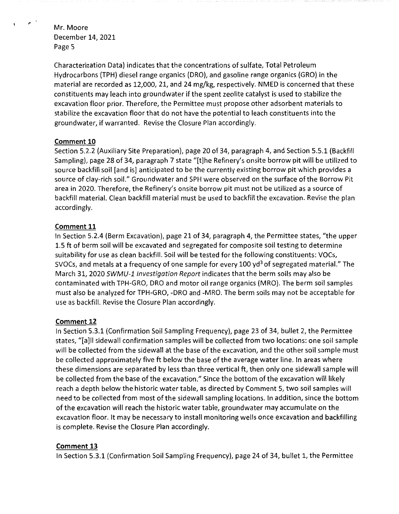$\epsilon$ 

 $\ddot{\phantom{0}}$ 

Characterization Data) indicates that the concentrations of sulfate, Total Petroleum Hydrocarbons (TPH) diesel range organics (DRO), and gasoline range organics (GRO) in the material are recorded as 12,000, 21, and 24 mg/kg, respectively. NMED is concerned that these constituents may leach into groundwater if the spent zeolite catalyst is used to stabilize the excavation floor prior. Therefore, the Permittee must propose other adsorbent materials to stabilize the excavation floor that do not have the potential to leach constituents into the groundwater, if warranted. Revise the Closure Plan accordingly.

### **Comment 10**

Section 5.2.2 (Auxiliary Site Preparation), page 20 of 34, paragraph 4, and Section 5.5.1 (Backfill Sampling), page 28 of 34, paragraph 7 state "[t]he Refinery's onsite borrow pit will be utilized to source backfill soil [and is] anticipated to be the currently existing borrow pit which provides a source of clay-rich soil." Groundwater and SPH were observed on the surface of the Borrow Pit area in 2020. Therefore, the Refinery's onsite borrow pit must not be utilized as a source of backfill material. Clean backfill material must be used to backfill the excavation. Revise the plan accordingly.

### **Comment 11**

In Section 5.2.4 (Berm Excavation), page 21 of 34, paragraph 4, the Permittee states, "the upper 1.5 ft of berm soil will be excavated and segregated for composite soil testing to determine suitability for use as clean backfill. Soil will be tested for the following constituents: VOCs, SVOCs, and metals at a frequency of one sample for every 100 yd<sup>3</sup> of segregated material." The March 31, 2020 SWMU-1 Investigation Report indicates that the berm soils may also be contaminated with TPH-GRO, DRO and motor oil range organics (MRO). The berm soil samples must also be analyzed for TPH-GRO, -DRO and -MRO. The berm soils may not be acceptable for use as backfill. Revise the Closure Plan accordingly.

# **Comment 12**

In Section 5.3.1 (Confirmation Soil Sampling Frequency), page 23 of 34, bullet 2, the Permittee states, "[a]II sidewall confirmation samples will be collected from two locations: one soil sample will be collected from the sidewall at the base of the excavation, and the other soil sample must be collected approximately five ft below the base of the average water line. In areas where these dimensions are separated by less than three vertical ft, then only one sidewall sample will be collected from the base of the excavation." Since the bottom of the excavation will likely reach a depth below the historic water table, as directed by Comment 5, two soil samples will need to be collected from most of the sidewall sampling locations. In addition, since the bottom of the excavation will reach the historic water table, groundwater may accumulate on the excavation floor. It may be necessary to install monitoring wells once excavation and backfilling is complete. Revise the Closure Plan accordingly.

### **Comment 13**

In Section 5.3.1 (Confirmation Soil Sampling Frequency), page 24 of 34, bullet 1, the Permittee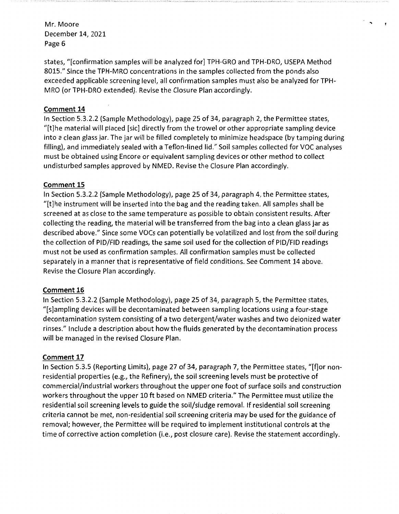states, "[confirmation samples will be analyzed for] TPH-GRO and TPH-DRO, USEPA Method 8015." Since the TPH-MRO concentrations in the samples collected from the ponds also exceeded applicable screening level, all confirmation samples must also be analyzed for TPH-MRO (or TPH-DRO extended). Revise the Closure Plan accordingly.

..

### **Comment 14**

In Section 5.3.2.2 (Sample Methodology), page 25 of 34, paragraph 2, the Permittee states, "[t]he material will placed [sic] directly from the trowel or other appropriate sampling device into a clean glass jar. The jar will be filled completely to minimize headspace (by tamping during filling), and immediately sealed with a Teflon-lined lid." Soil samples collected for VOC analyses must be obtained using Encore or equivalent sampling devices or other method to collect undisturbed samples approved by NMED. Revise the Closure Plan accordingly.

### **Comment 15**

In Section 5.3.2.2 (Sample Methodology), page 25 of 34, paragraph 4, the Permittee states, "[t]he instrument will be inserted into the bag and the reading taken. All samples shall be screened at as close to the same temperature as possible to obtain consistent results. After collecting the reading, the material will be transferred from the bag into a clean glass jar as described above." Since some VOCs can potentially be volatilized and lost from the soil during the collection of PID/FID readings, the same soil used for the collection of PID/FID readings must not be used as confirmation samples. All confirmation samples must be collected separately in a manner that is representative of field conditions. See Comment 14 above. Revise the Closure Plan accordingly.

# **Comment 16**

In Section 5.3.2.2 (Sample Methodology), page 25 of 34, paragraph 5, the Permittee states, "[s]ampling devices will be decontaminated between sampling locations using a four-stage decontamination system consisting of a two detergent/water washes and two deionized water rinses." Include a description about how the fluids generated by the decontamination process will be managed in the revised Closure Plan.

# **Comment 17**

In Section 5.3.5 (Reporting Limits), page 27 of 34, paragraph 7, the Permittee states, "[f]or nonresidential properties (e.g., the Refinery), the soil screening levels must be protective of commercial/industrial workers throughout the upper one foot of surface soils and construction workers throughout the upper 10 ft based on NMED criteria." The Permittee must utilize the residential soil screening levels to guide the soil/sludge removal. If residential soil screening criteria cannot be met, non-residential soil screening criteria may be used for the guidance of removal; however, the Permittee will be required to implement institutional controls at the time of corrective action completion (i.e., post closure care). Revise the statement accordingly.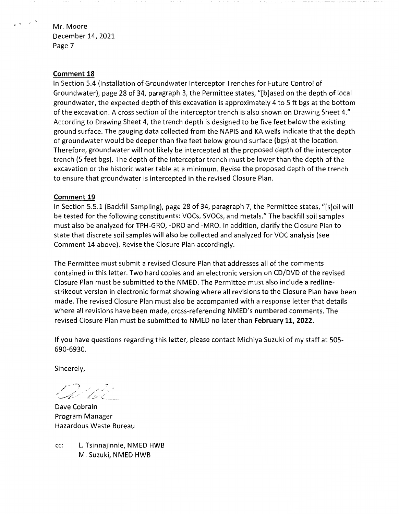#### **Comment 18**

In Section 5.4 {Installation of Groundwater Interceptor Trenches for Future Control of Groundwater), page 28 of 34, paragraph 3, the Permittee states, "[b]ased on the depth of local groundwater, the expected depth of this excavation is approximately 4 to 5 ft bgs at the bottom of the excavation. A cross section of the interceptor trench is also shown on Drawing Sheet 4." According to Drawing Sheet 4, the trench depth is designed to be five feet below the existing ground surface. The gauging data collected from the NAPIS and KA wells indicate that the depth of groundwater would be deeper than five feet below ground surface {bgs) at the location. Therefore, groundwater will not likely be intercepted at the proposed depth of the interceptor trench (5 feet bgs). The depth of the interceptor trench must be lower than the depth of the excavation or the historic water table at a minimum. Revise the proposed depth of the trench to ensure that groundwater is intercepted in the revised Closure Plan.

#### **Comment 19**

In Section 5.5.1 (Backfill Sampling), page 28 of 34, paragraph 7, the Permittee states, "[s]oil will be tested for the following constituents: VOCs, SVOCs, and metals." The backfill soil samples must also be analyzed for TPH-GRO, -DRO and -MRO. In addition, clarify the Closure Plan to state that discrete soil samples will also be collected and analyzed for VOC analysis {see Comment 14 above). Revise the Closure Plan accordingly.

The Permittee must submit a revised Closure Plan that addresses all of the comments contained in this letter. Two hard copies and an electronic version on CD/DVD of the revised Closure Plan must be submitted to the NMED. The Permittee must also include a redlinestrikeout version in electronic format showing where all revisions to the Closure Plan have been made. The revised Closure Plan must also be accompanied with a response letter that details where all revisions have been made, cross-referencing NMED's numbered comments. The revised Closure Plan must be submitted to NMED no later than **February 11, 2022.** 

If you have questions regarding this letter, please contact Michiya Suzuki of my staff at 505- 690-6930.

Sincerely,

D-lov<sup>7</sup>

Dave Cobrain Program Manager Hazardous Waste Bureau

cc: L. Tsinnajinnie, NMED HWB M. Suzuki, NMED HWB